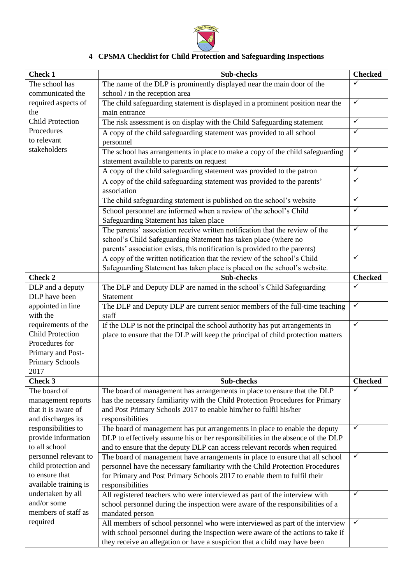

## **4 CPSMA Checklist for Child Protection and Safeguarding Inspections**

| <b>Check 1</b>          | Sub-checks                                                                       | <b>Checked</b> |
|-------------------------|----------------------------------------------------------------------------------|----------------|
| The school has          | The name of the DLP is prominently displayed near the main door of the           | $\checkmark$   |
| communicated the        | school / in the reception area                                                   |                |
| required aspects of     | The child safeguarding statement is displayed in a prominent position near the   | $\checkmark$   |
| the                     | main entrance                                                                    |                |
| <b>Child Protection</b> | The risk assessment is on display with the Child Safeguarding statement          | $\checkmark$   |
| Procedures              | A copy of the child safeguarding statement was provided to all school            | $\checkmark$   |
| to relevant             | personnel                                                                        |                |
| stakeholders            | The school has arrangements in place to make a copy of the child safeguarding    | $\checkmark$   |
|                         | statement available to parents on request                                        |                |
|                         | A copy of the child safeguarding statement was provided to the patron            | $\checkmark$   |
|                         | A copy of the child safeguarding statement was provided to the parents'          | $\checkmark$   |
|                         | association                                                                      |                |
|                         | The child safeguarding statement is published on the school's website            | $\checkmark$   |
|                         | School personnel are informed when a review of the school's Child                | $\checkmark$   |
|                         | Safeguarding Statement has taken place                                           |                |
|                         | The parents' association receive written notification that the review of the     | $\checkmark$   |
|                         | school's Child Safeguarding Statement has taken place (where no                  |                |
|                         | parents' association exists, this notification is provided to the parents)       |                |
|                         | A copy of the written notification that the review of the school's Child         | $\checkmark$   |
|                         | Safeguarding Statement has taken place is placed on the school's website.        |                |
| <b>Check 2</b>          | Sub-checks                                                                       | <b>Checked</b> |
| DLP and a deputy        | The DLP and Deputy DLP are named in the school's Child Safeguarding              | $\checkmark$   |
| DLP have been           | Statement                                                                        |                |
| appointed in line       | The DLP and Deputy DLP are current senior members of the full-time teaching      | $\checkmark$   |
| with the                | staff                                                                            |                |
| requirements of the     | If the DLP is not the principal the school authority has put arrangements in     | $\checkmark$   |
| <b>Child Protection</b> | place to ensure that the DLP will keep the principal of child protection matters |                |
| Procedures for          |                                                                                  |                |
| Primary and Post-       |                                                                                  |                |
| <b>Primary Schools</b>  |                                                                                  |                |
| 2017                    |                                                                                  |                |
| <b>Check 3</b>          | <b>Sub-checks</b>                                                                | <b>Checked</b> |
| The board of            | The board of management has arrangements in place to ensure that the DLP         | ✓              |
| management reports      | has the necessary familiarity with the Child Protection Procedures for Primary   |                |
| that it is aware of     | and Post Primary Schools 2017 to enable him/her to fulfil his/her                |                |
| and discharges its      | responsibilities                                                                 |                |
| responsibilities to     | The board of management has put arrangements in place to enable the deputy       | $\checkmark$   |
| provide information     | DLP to effectively assume his or her responsibilities in the absence of the DLP  |                |
| to all school           | and to ensure that the deputy DLP can access relevant records when required      |                |
| personnel relevant to   | The board of management have arrangements in place to ensure that all school     | $\checkmark$   |
| child protection and    | personnel have the necessary familiarity with the Child Protection Procedures    |                |
| to ensure that          | for Primary and Post Primary Schools 2017 to enable them to fulfil their         |                |
| available training is   | responsibilities                                                                 |                |
| undertaken by all       | All registered teachers who were interviewed as part of the interview with       | $\checkmark$   |
| and/or some             | school personnel during the inspection were aware of the responsibilities of a   |                |
| members of staff as     | mandated person                                                                  |                |
| required                | All members of school personnel who were interviewed as part of the interview    | $\checkmark$   |
|                         | with school personnel during the inspection were aware of the actions to take if |                |
|                         | they receive an allegation or have a suspicion that a child may have been        |                |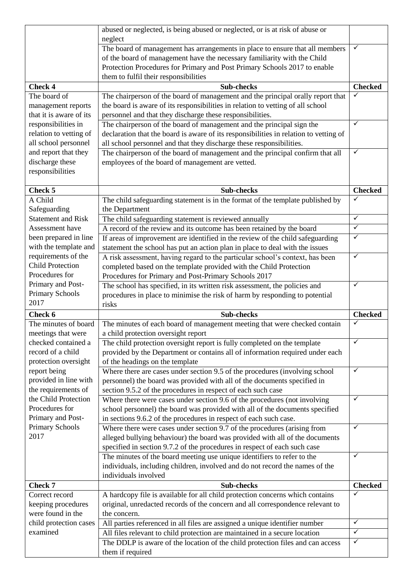|                           | abused or neglected, is being abused or neglected, or is at risk of abuse or          |                |
|---------------------------|---------------------------------------------------------------------------------------|----------------|
|                           | neglect                                                                               |                |
|                           | The board of management has arrangements in place to ensure that all members          | ✓              |
|                           | of the board of management have the necessary familiarity with the Child              |                |
|                           | Protection Procedures for Primary and Post Primary Schools 2017 to enable             |                |
|                           | them to fulfil their responsibilities                                                 |                |
| <b>Check 4</b>            | <b>Sub-checks</b>                                                                     | <b>Checked</b> |
| The board of              | The chairperson of the board of management and the principal orally report that       | ✓              |
| management reports        | the board is aware of its responsibilities in relation to vetting of all school       |                |
| that it is aware of its   | personnel and that they discharge these responsibilities.                             |                |
| responsibilities in       | The chairperson of the board of management and the principal sign the                 | ✓              |
| relation to vetting of    | declaration that the board is aware of its responsibilities in relation to vetting of |                |
| all school personnel      | all school personnel and that they discharge these responsibilities.                  |                |
| and report that they      | The chairperson of the board of management and the principal confirm that all         | $\checkmark$   |
| discharge these           | employees of the board of management are vetted.                                      |                |
| responsibilities          |                                                                                       |                |
|                           |                                                                                       |                |
| Check 5                   | <b>Sub-checks</b>                                                                     | <b>Checked</b> |
| A Child                   | The child safeguarding statement is in the format of the template published by        | $\checkmark$   |
| Safeguarding              | the Department                                                                        |                |
| <b>Statement and Risk</b> | The child safeguarding statement is reviewed annually                                 | $\checkmark$   |
| Assessment have           | A record of the review and its outcome has been retained by the board                 | $\checkmark$   |
| been prepared in line     | If areas of improvement are identified in the review of the child safeguarding        | ✓              |
| with the template and     | statement the school has put an action plan in place to deal with the issues          |                |
| requirements of the       | A risk assessment, having regard to the particular school's context, has been         | $\checkmark$   |
| <b>Child Protection</b>   | completed based on the template provided with the Child Protection                    |                |
| Procedures for            | Procedures for Primary and Post-Primary Schools 2017                                  |                |
| Primary and Post-         | The school has specified, in its written risk assessment, the policies and            | $\checkmark$   |
| <b>Primary Schools</b>    | procedures in place to minimise the risk of harm by responding to potential           |                |
| 2017                      | risks                                                                                 |                |
| Check 6                   | <b>Sub-checks</b>                                                                     | <b>Checked</b> |
| The minutes of board      | The minutes of each board of management meeting that were checked contain             | ✓              |
| meetings that were        | a child protection oversight report                                                   |                |
| checked contained a       | The child protection oversight report is fully completed on the template              | $\checkmark$   |
| record of a child         | provided by the Department or contains all of information required under each         |                |
| protection oversight      | of the headings on the template                                                       |                |
| report being              | Where there are cases under section 9.5 of the procedures (involving school           | $\checkmark$   |
| provided in line with     | personnel) the board was provided with all of the documents specified in              |                |
| the requirements of       | section 9.5.2 of the procedures in respect of each such case                          |                |
| the Child Protection      | Where there were cases under section 9.6 of the procedures (not involving             | $\checkmark$   |
| Procedures for            | school personnel) the board was provided with all of the documents specified          |                |
| Primary and Post-         | in sections 9.6.2 of the procedures in respect of each such case.                     |                |
| Primary Schools           | Where there were cases under section 9.7 of the procedures (arising from              | $\checkmark$   |
| 2017                      | alleged bullying behaviour) the board was provided with all of the documents          |                |
|                           | specified in section 9.7.2 of the procedures in respect of each such case             |                |
|                           | The minutes of the board meeting use unique identifiers to refer to the               | $\checkmark$   |
|                           | individuals, including children, involved and do not record the names of the          |                |
|                           | individuals involved                                                                  |                |
| Check 7                   | Sub-checks                                                                            | <b>Checked</b> |
| Correct record            | A hardcopy file is available for all child protection concerns which contains         | $\checkmark$   |
| keeping procedures        | original, unredacted records of the concern and all correspondence relevant to        |                |
| were found in the         | the concern.                                                                          |                |
| child protection cases    | All parties referenced in all files are assigned a unique identifier number           | $\checkmark$   |
| examined                  | All files relevant to child protection are maintained in a secure location            | $\checkmark$   |
|                           | The DDLP is aware of the location of the child protection files and can access        | $\checkmark$   |
|                           | them if required                                                                      |                |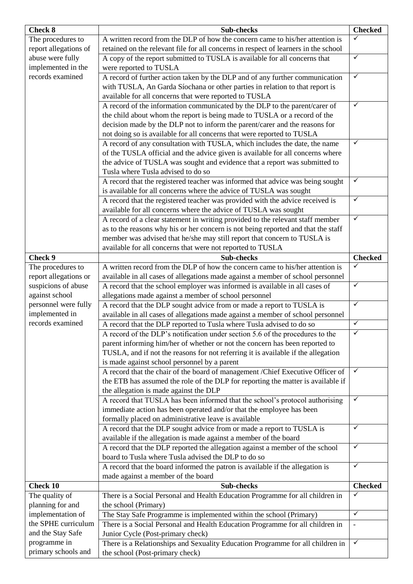| <b>Check 8</b>                        | Sub-checks                                                                                                                                          | <b>Checked</b> |
|---------------------------------------|-----------------------------------------------------------------------------------------------------------------------------------------------------|----------------|
| The procedures to                     | A written record from the DLP of how the concern came to his/her attention is                                                                       |                |
| report allegations of                 | retained on the relevant file for all concerns in respect of learners in the school                                                                 |                |
| abuse were fully                      | A copy of the report submitted to TUSLA is available for all concerns that                                                                          | $\checkmark$   |
| implemented in the                    | were reported to TUSLA                                                                                                                              |                |
| records examined                      | A record of further action taken by the DLP and of any further communication                                                                        | $\checkmark$   |
|                                       | with TUSLA, An Garda Síochana or other parties in relation to that report is                                                                        |                |
|                                       | available for all concerns that were reported to TUSLA                                                                                              |                |
|                                       | A record of the information communicated by the DLP to the parent/carer of                                                                          | $\checkmark$   |
|                                       | the child about whom the report is being made to TUSLA or a record of the                                                                           |                |
|                                       | decision made by the DLP not to inform the parent/carer and the reasons for                                                                         |                |
|                                       | not doing so is available for all concerns that were reported to TUSLA                                                                              |                |
|                                       | A record of any consultation with TUSLA, which includes the date, the name                                                                          | ✓              |
|                                       | of the TUSLA official and the advice given is available for all concerns where                                                                      |                |
|                                       | the advice of TUSLA was sought and evidence that a report was submitted to                                                                          |                |
|                                       | Tusla where Tusla advised to do so                                                                                                                  | ✓              |
|                                       | A record that the registered teacher was informed that advice was being sought                                                                      |                |
|                                       | is available for all concerns where the advice of TUSLA was sought<br>A record that the registered teacher was provided with the advice received is | $\checkmark$   |
|                                       | available for all concerns where the advice of TUSLA was sought                                                                                     |                |
|                                       | A record of a clear statement in writing provided to the relevant staff member                                                                      | $\checkmark$   |
|                                       | as to the reasons why his or her concern is not being reported and that the staff                                                                   |                |
|                                       | member was advised that he/she may still report that concern to TUSLA is                                                                            |                |
|                                       | available for all concerns that were not reported to TUSLA                                                                                          |                |
| Check 9                               | Sub-checks                                                                                                                                          | <b>Checked</b> |
| The procedures to                     | A written record from the DLP of how the concern came to his/her attention is                                                                       | ✓              |
| report allegations or                 | available in all cases of allegations made against a member of school personnel                                                                     |                |
| suspicions of abuse                   | A record that the school employer was informed is available in all cases of                                                                         | $\checkmark$   |
| against school                        | allegations made against a member of school personnel                                                                                               |                |
| personnel were fully                  | A record that the DLP sought advice from or made a report to TUSLA is                                                                               | $\checkmark$   |
| implemented in                        | available in all cases of allegations made against a member of school personnel                                                                     |                |
| records examined                      | A record that the DLP reported to Tusla where Tusla advised to do so                                                                                | $\checkmark$   |
|                                       | A record of the DLP's notification under section 5.6 of the procedures to the                                                                       | $\checkmark$   |
|                                       | parent informing him/her of whether or not the concern has been reported to                                                                         |                |
|                                       | TUSLA, and if not the reasons for not referring it is available if the allegation                                                                   |                |
|                                       | is made against school personnel by a parent<br>A record that the chair of the board of management /Chief Executive Officer of                      | $\checkmark$   |
|                                       | the ETB has assumed the role of the DLP for reporting the matter is available if                                                                    |                |
|                                       | the allegation is made against the DLP                                                                                                              |                |
|                                       | A record that TUSLA has been informed that the school's protocol authorising                                                                        | $\checkmark$   |
|                                       | immediate action has been operated and/or that the employee has been                                                                                |                |
|                                       | formally placed on administrative leave is available                                                                                                |                |
|                                       | A record that the DLP sought advice from or made a report to TUSLA is                                                                               | $\checkmark$   |
|                                       | available if the allegation is made against a member of the board                                                                                   |                |
|                                       | A record that the DLP reported the allegation against a member of the school                                                                        | $\checkmark$   |
|                                       | board to Tusla where Tusla advised the DLP to do so                                                                                                 |                |
|                                       | A record that the board informed the patron is available if the allegation is                                                                       | $\checkmark$   |
|                                       | made against a member of the board                                                                                                                  |                |
| <b>Check 10</b>                       | Sub-checks                                                                                                                                          | <b>Checked</b> |
| The quality of                        | There is a Social Personal and Health Education Programme for all children in                                                                       | ✓              |
| planning for and<br>implementation of | the school (Primary)<br>The Stay Safe Programme is implemented within the school (Primary)                                                          | $\checkmark$   |
| the SPHE curriculum                   | There is a Social Personal and Health Education Programme for all children in                                                                       |                |
| and the Stay Safe                     | Junior Cycle (Post-primary check)                                                                                                                   |                |
| programme in                          | There is a Relationships and Sexuality Education Programme for all children in                                                                      | $\checkmark$   |
| primary schools and                   | the school (Post-primary check)                                                                                                                     |                |